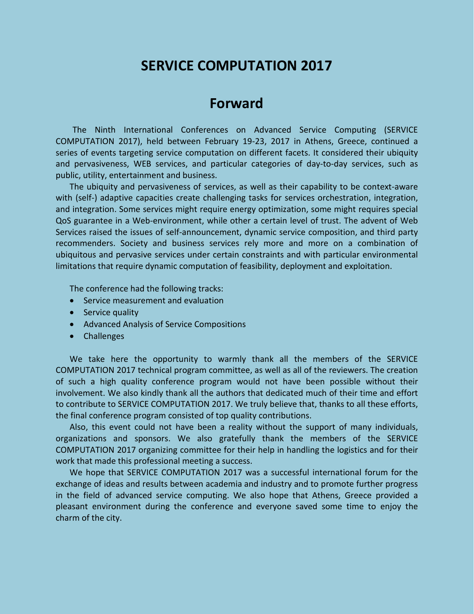# **SERVICE COMPUTATION 2017**

# **Forward**

The Ninth International Conferences on Advanced Service Computing (SERVICE COMPUTATION 2017), held between February 19-23, 2017 in Athens, Greece, continued a series of events targeting service computation on different facets. It considered their ubiquity and pervasiveness, WEB services, and particular categories of day-to-day services, such as public, utility, entertainment and business.

The ubiquity and pervasiveness of services, as well as their capability to be context-aware with (self-) adaptive capacities create challenging tasks for services orchestration, integration, and integration. Some services might require energy optimization, some might requires special QoS guarantee in a Web-environment, while other a certain level of trust. The advent of Web Services raised the issues of self-announcement, dynamic service composition, and third party recommenders. Society and business services rely more and more on a combination of ubiquitous and pervasive services under certain constraints and with particular environmental limitations that require dynamic computation of feasibility, deployment and exploitation.

The conference had the following tracks:

- Service measurement and evaluation
- Service quality
- Advanced Analysis of Service Compositions
- Challenges

We take here the opportunity to warmly thank all the members of the SERVICE COMPUTATION 2017 technical program committee, as well as all of the reviewers. The creation of such a high quality conference program would not have been possible without their involvement. We also kindly thank all the authors that dedicated much of their time and effort to contribute to SERVICE COMPUTATION 2017. We truly believe that, thanks to all these efforts, the final conference program consisted of top quality contributions.

Also, this event could not have been a reality without the support of many individuals, organizations and sponsors. We also gratefully thank the members of the SERVICE COMPUTATION 2017 organizing committee for their help in handling the logistics and for their work that made this professional meeting a success.

We hope that SERVICE COMPUTATION 2017 was a successful international forum for the exchange of ideas and results between academia and industry and to promote further progress in the field of advanced service computing. We also hope that Athens, Greece provided a pleasant environment during the conference and everyone saved some time to enjoy the charm of the city.